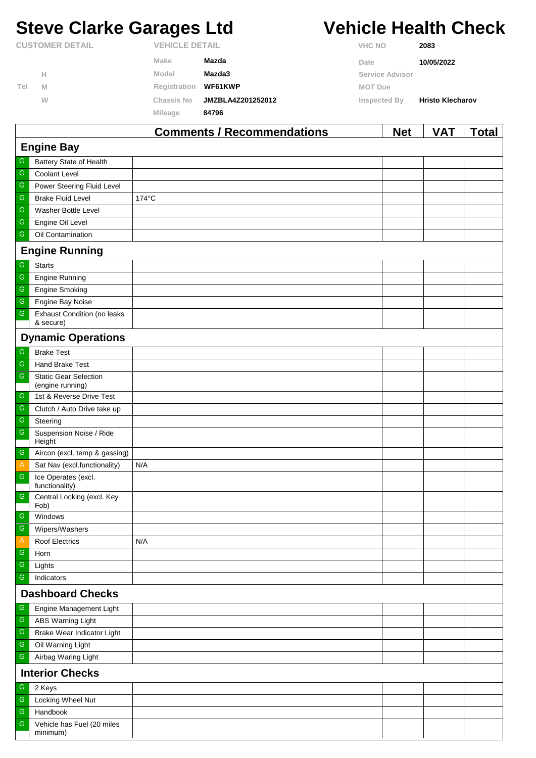# **Steve Clarke Garages Ltd Vehicle Health Check**

|                        |   |              | Commonte / Pecommondations             |                | <b>NIA+</b>            | VAT.                    | Total |  |
|------------------------|---|--------------|----------------------------------------|----------------|------------------------|-------------------------|-------|--|
|                        |   | Mileage      | 84796                                  |                |                        |                         |       |  |
|                        | W | Chassis No   | JMZBLA4Z201252012                      | Inspected By   |                        | <b>Hristo Klecharov</b> |       |  |
| Tel                    | M | Registration | WF61KWP                                | <b>MOT Due</b> |                        |                         |       |  |
|                        | н | Model        | Mazda3                                 |                | <b>Service Advisor</b> |                         |       |  |
|                        |   | Make         | Mazda                                  | Date           |                        | 10/05/2022              |       |  |
| <b>CUSTOMER DETAIL</b> |   |              | <b>VEHICLE DETAIL</b><br><b>VHC NO</b> |                |                        | 2083                    |       |  |

|                        |                                                 | <b>Comments / Recommendations</b> | <b>Net</b> | <b>VAT</b> | <b>Total</b> |  |  |
|------------------------|-------------------------------------------------|-----------------------------------|------------|------------|--------------|--|--|
|                        | <b>Engine Bay</b>                               |                                   |            |            |              |  |  |
| G                      | Battery State of Health                         |                                   |            |            |              |  |  |
| ${\mathsf G}$          | Coolant Level                                   |                                   |            |            |              |  |  |
| G                      | Power Steering Fluid Level                      |                                   |            |            |              |  |  |
| G                      | <b>Brake Fluid Level</b>                        | 174°C                             |            |            |              |  |  |
| ${\mathsf G}$          | Washer Bottle Level                             |                                   |            |            |              |  |  |
| G                      | Engine Oil Level                                |                                   |            |            |              |  |  |
| G                      | Oil Contamination                               |                                   |            |            |              |  |  |
|                        | <b>Engine Running</b>                           |                                   |            |            |              |  |  |
| G                      | <b>Starts</b>                                   |                                   |            |            |              |  |  |
| G                      | <b>Engine Running</b>                           |                                   |            |            |              |  |  |
| G                      | <b>Engine Smoking</b>                           |                                   |            |            |              |  |  |
| G                      | Engine Bay Noise                                |                                   |            |            |              |  |  |
| G                      | <b>Exhaust Condition (no leaks</b><br>& secure) |                                   |            |            |              |  |  |
|                        | <b>Dynamic Operations</b>                       |                                   |            |            |              |  |  |
| G                      | <b>Brake Test</b>                               |                                   |            |            |              |  |  |
| G                      | Hand Brake Test                                 |                                   |            |            |              |  |  |
| G                      | <b>Static Gear Selection</b>                    |                                   |            |            |              |  |  |
|                        | (engine running)                                |                                   |            |            |              |  |  |
| G                      | 1st & Reverse Drive Test                        |                                   |            |            |              |  |  |
| G                      | Clutch / Auto Drive take up                     |                                   |            |            |              |  |  |
| G                      | Steering                                        |                                   |            |            |              |  |  |
| ${\mathsf G}$          | Suspension Noise / Ride<br>Height               |                                   |            |            |              |  |  |
| G                      | Aircon (excl. temp & gassing)                   |                                   |            |            |              |  |  |
| $\overline{A}$         | Sat Nav (excl.functionality)                    | N/A                               |            |            |              |  |  |
| G                      | Ice Operates (excl.<br>functionality)           |                                   |            |            |              |  |  |
| G                      | Central Locking (excl. Key<br>Fob)              |                                   |            |            |              |  |  |
| G                      | Windows                                         |                                   |            |            |              |  |  |
| G                      | Wipers/Washers                                  |                                   |            |            |              |  |  |
| $\mathsf{A}$           | <b>Roof Electrics</b>                           | N/A                               |            |            |              |  |  |
| G                      | Horn                                            |                                   |            |            |              |  |  |
| G                      | Lights                                          |                                   |            |            |              |  |  |
| G                      | Indicators                                      |                                   |            |            |              |  |  |
|                        | <b>Dashboard Checks</b>                         |                                   |            |            |              |  |  |
| G                      | Engine Management Light                         |                                   |            |            |              |  |  |
| G                      | <b>ABS Warning Light</b>                        |                                   |            |            |              |  |  |
| G                      | Brake Wear Indicator Light                      |                                   |            |            |              |  |  |
| G                      | Oil Warning Light                               |                                   |            |            |              |  |  |
| G                      | Airbag Waring Light                             |                                   |            |            |              |  |  |
| <b>Interior Checks</b> |                                                 |                                   |            |            |              |  |  |
| G                      | 2 Keys                                          |                                   |            |            |              |  |  |
| G                      | Locking Wheel Nut                               |                                   |            |            |              |  |  |
| ${\mathsf G}$          | Handbook                                        |                                   |            |            |              |  |  |
| G                      | Vehicle has Fuel (20 miles<br>minimum)          |                                   |            |            |              |  |  |